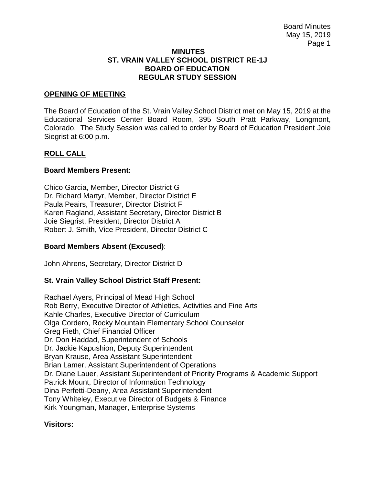#### **MINUTES ST. VRAIN VALLEY SCHOOL DISTRICT RE-1J BOARD OF EDUCATION REGULAR STUDY SESSION**

## **OPENING OF MEETING**

The Board of Education of the St. Vrain Valley School District met on May 15, 2019 at the Educational Services Center Board Room, 395 South Pratt Parkway, Longmont, Colorado. The Study Session was called to order by Board of Education President Joie Siegrist at 6:00 p.m.

# **ROLL CALL**

### **Board Members Present:**

Chico Garcia, Member, Director District G Dr. Richard Martyr, Member, Director District E Paula Peairs, Treasurer, Director District F Karen Ragland, Assistant Secretary, Director District B Joie Siegrist, President, Director District A Robert J. Smith, Vice President, Director District C

## **Board Members Absent (Excused)**:

John Ahrens, Secretary, Director District D

# **St. Vrain Valley School District Staff Present:**

Rachael Ayers, Principal of Mead High School Rob Berry, Executive Director of Athletics, Activities and Fine Arts Kahle Charles, Executive Director of Curriculum Olga Cordero, Rocky Mountain Elementary School Counselor Greg Fieth, Chief Financial Officer Dr. Don Haddad, Superintendent of Schools Dr. Jackie Kapushion, Deputy Superintendent Bryan Krause, Area Assistant Superintendent Brian Lamer, Assistant Superintendent of Operations Dr. Diane Lauer, Assistant Superintendent of Priority Programs & Academic Support Patrick Mount, Director of Information Technology Dina Perfetti-Deany, Area Assistant Superintendent Tony Whiteley, Executive Director of Budgets & Finance Kirk Youngman, Manager, Enterprise Systems

#### **Visitors:**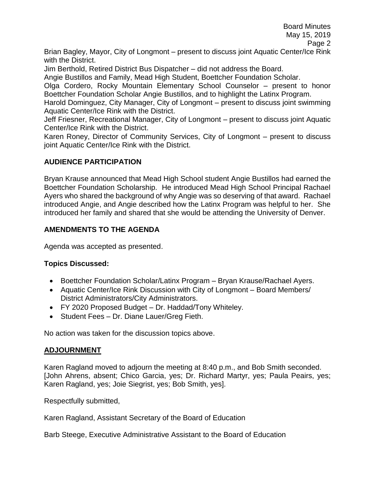Brian Bagley, Mayor, City of Longmont – present to discuss joint Aquatic Center/Ice Rink with the District.

Jim Berthold, Retired District Bus Dispatcher – did not address the Board.

Angie Bustillos and Family, Mead High Student, Boettcher Foundation Scholar.

Olga Cordero, Rocky Mountain Elementary School Counselor – present to honor Boettcher Foundation Scholar Angie Bustillos, and to highlight the Latinx Program.

Harold Dominguez, City Manager, City of Longmont – present to discuss joint swimming Aquatic Center/Ice Rink with the District.

Jeff Friesner, Recreational Manager, City of Longmont – present to discuss joint Aquatic Center/Ice Rink with the District.

Karen Roney, Director of Community Services, City of Longmont – present to discuss joint Aquatic Center/Ice Rink with the District.

# **AUDIENCE PARTICIPATION**

Bryan Krause announced that Mead High School student Angie Bustillos had earned the Boettcher Foundation Scholarship. He introduced Mead High School Principal Rachael Ayers who shared the background of why Angie was so deserving of that award. Rachael introduced Angie, and Angie described how the Latinx Program was helpful to her. She introduced her family and shared that she would be attending the University of Denver.

# **AMENDMENTS TO THE AGENDA**

Agenda was accepted as presented.

# **Topics Discussed:**

- Boettcher Foundation Scholar/Latinx Program Bryan Krause/Rachael Ayers.
- Aquatic Center/Ice Rink Discussion with City of Longmont Board Members/ District Administrators/City Administrators.
- FY 2020 Proposed Budget Dr. Haddad/Tony Whiteley.
- Student Fees Dr. Diane Lauer/Greg Fieth.

No action was taken for the discussion topics above.

# **ADJOURNMENT**

Karen Ragland moved to adjourn the meeting at 8:40 p.m., and Bob Smith seconded. [John Ahrens, absent; Chico Garcia, yes; Dr. Richard Martyr, yes; Paula Peairs, yes; Karen Ragland, yes; Joie Siegrist, yes; Bob Smith, yes].

Respectfully submitted,

Karen Ragland, Assistant Secretary of the Board of Education

Barb Steege, Executive Administrative Assistant to the Board of Education